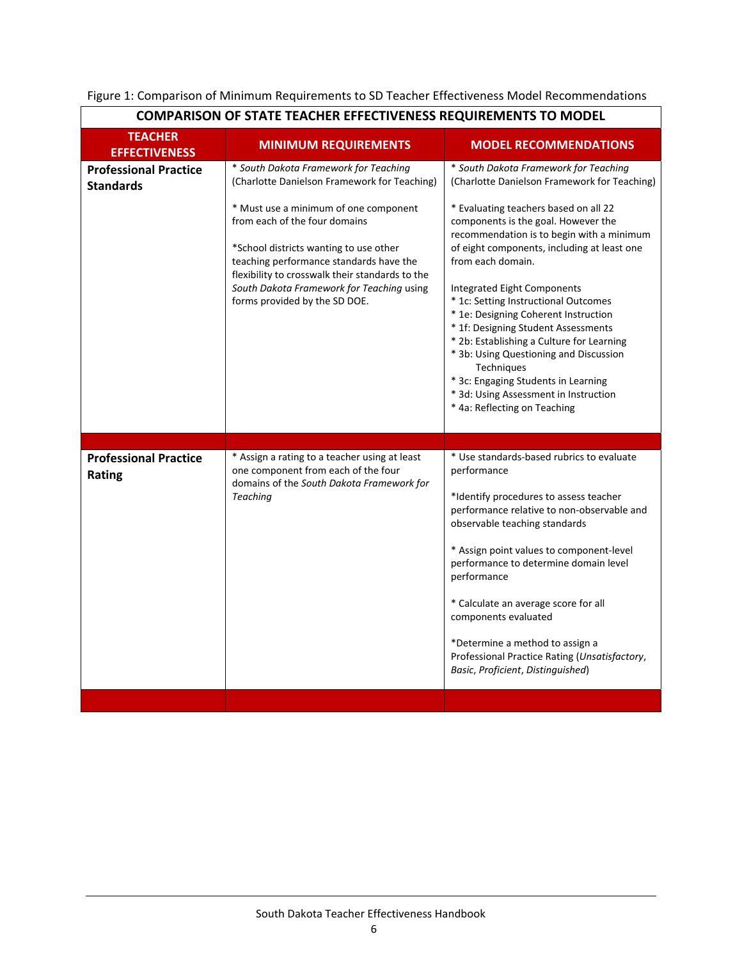| <b>COMPARISON OF STATE TEACHER EFFECTIVENESS REQUIREMENTS TO MODEL</b> |                                                                                                                                                                                                                                                                                                                                                                                       |                                                                                                                                                                                                                                                                                                                                                                                                                                                                                                                                                                                                                                                                          |  |
|------------------------------------------------------------------------|---------------------------------------------------------------------------------------------------------------------------------------------------------------------------------------------------------------------------------------------------------------------------------------------------------------------------------------------------------------------------------------|--------------------------------------------------------------------------------------------------------------------------------------------------------------------------------------------------------------------------------------------------------------------------------------------------------------------------------------------------------------------------------------------------------------------------------------------------------------------------------------------------------------------------------------------------------------------------------------------------------------------------------------------------------------------------|--|
| <b>TEACHER</b><br><b>EFFECTIVENESS</b>                                 | <b>MINIMUM REQUIREMENTS</b>                                                                                                                                                                                                                                                                                                                                                           | <b>MODEL RECOMMENDATIONS</b>                                                                                                                                                                                                                                                                                                                                                                                                                                                                                                                                                                                                                                             |  |
| <b>Professional Practice</b><br><b>Standards</b>                       | * South Dakota Framework for Teaching<br>(Charlotte Danielson Framework for Teaching)<br>* Must use a minimum of one component<br>from each of the four domains<br>*School districts wanting to use other<br>teaching performance standards have the<br>flexibility to crosswalk their standards to the<br>South Dakota Framework for Teaching using<br>forms provided by the SD DOE. | * South Dakota Framework for Teaching<br>(Charlotte Danielson Framework for Teaching)<br>* Evaluating teachers based on all 22<br>components is the goal. However the<br>recommendation is to begin with a minimum<br>of eight components, including at least one<br>from each domain.<br><b>Integrated Eight Components</b><br>* 1c: Setting Instructional Outcomes<br>* 1e: Designing Coherent Instruction<br>* 1f: Designing Student Assessments<br>* 2b: Establishing a Culture for Learning<br>* 3b: Using Questioning and Discussion<br>Techniques<br>* 3c: Engaging Students in Learning<br>* 3d: Using Assessment in Instruction<br>* 4a: Reflecting on Teaching |  |
| <b>Professional Practice</b><br>Rating                                 | * Assign a rating to a teacher using at least<br>one component from each of the four<br>domains of the South Dakota Framework for<br><b>Teaching</b>                                                                                                                                                                                                                                  | * Use standards-based rubrics to evaluate<br>performance<br>*Identify procedures to assess teacher<br>performance relative to non-observable and<br>observable teaching standards<br>* Assign point values to component-level<br>performance to determine domain level<br>performance<br>* Calculate an average score for all<br>components evaluated<br>*Determine a method to assign a<br>Professional Practice Rating (Unsatisfactory,<br>Basic, Proficient, Distinguished)                                                                                                                                                                                           |  |

## Figure 1: Comparison of Minimum Requirements to SD Teacher Effectiveness Model Recommendations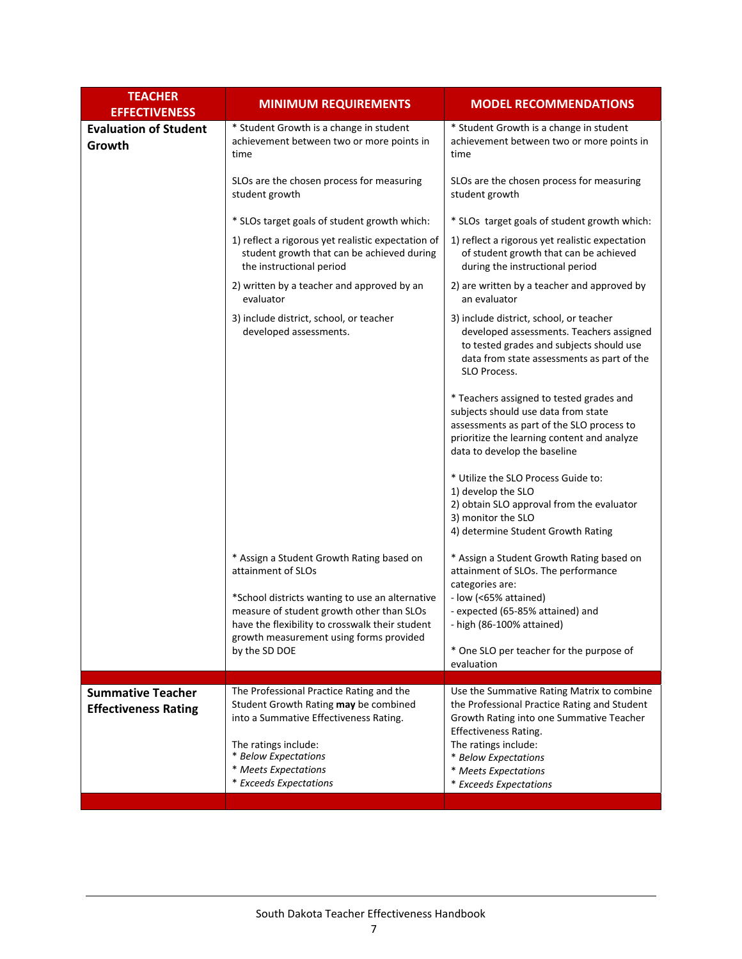| <b>TEACHER</b><br><b>EFFECTIVENESS</b> | <b>MINIMUM REQUIREMENTS</b>                                                                                                                                                                | <b>MODEL RECOMMENDATIONS</b>                                                                                                                                                                                |
|----------------------------------------|--------------------------------------------------------------------------------------------------------------------------------------------------------------------------------------------|-------------------------------------------------------------------------------------------------------------------------------------------------------------------------------------------------------------|
| <b>Evaluation of Student</b><br>Growth | * Student Growth is a change in student<br>achievement between two or more points in<br>time                                                                                               | * Student Growth is a change in student<br>achievement between two or more points in<br>time                                                                                                                |
|                                        | SLOs are the chosen process for measuring<br>student growth                                                                                                                                | SLOs are the chosen process for measuring<br>student growth                                                                                                                                                 |
|                                        | * SLOs target goals of student growth which:                                                                                                                                               | * SLOs target goals of student growth which:                                                                                                                                                                |
|                                        | 1) reflect a rigorous yet realistic expectation of<br>student growth that can be achieved during<br>the instructional period                                                               | 1) reflect a rigorous yet realistic expectation<br>of student growth that can be achieved<br>during the instructional period                                                                                |
|                                        | 2) written by a teacher and approved by an<br>evaluator                                                                                                                                    | 2) are written by a teacher and approved by<br>an evaluator                                                                                                                                                 |
|                                        | 3) include district, school, or teacher<br>developed assessments.                                                                                                                          | 3) include district, school, or teacher<br>developed assessments. Teachers assigned<br>to tested grades and subjects should use<br>data from state assessments as part of the<br>SLO Process.               |
|                                        |                                                                                                                                                                                            | * Teachers assigned to tested grades and<br>subjects should use data from state<br>assessments as part of the SLO process to<br>prioritize the learning content and analyze<br>data to develop the baseline |
|                                        |                                                                                                                                                                                            | * Utilize the SLO Process Guide to:<br>1) develop the SLO<br>2) obtain SLO approval from the evaluator<br>3) monitor the SLO<br>4) determine Student Growth Rating                                          |
|                                        | * Assign a Student Growth Rating based on<br>attainment of SLOs                                                                                                                            | * Assign a Student Growth Rating based on<br>attainment of SLOs. The performance<br>categories are:                                                                                                         |
|                                        | *School districts wanting to use an alternative<br>measure of student growth other than SLOs<br>have the flexibility to crosswalk their student<br>growth measurement using forms provided | - low (<65% attained)<br>- expected (65-85% attained) and<br>- high (86-100% attained)                                                                                                                      |
|                                        | by the SD DOE                                                                                                                                                                              | * One SLO per teacher for the purpose of<br>evaluation                                                                                                                                                      |
| <b>Summative Teacher</b>               | The Professional Practice Rating and the                                                                                                                                                   | Use the Summative Rating Matrix to combine                                                                                                                                                                  |
| <b>Effectiveness Rating</b>            | Student Growth Rating may be combined                                                                                                                                                      | the Professional Practice Rating and Student                                                                                                                                                                |
|                                        | into a Summative Effectiveness Rating.                                                                                                                                                     | Growth Rating into one Summative Teacher<br><b>Effectiveness Rating.</b>                                                                                                                                    |
|                                        | The ratings include:                                                                                                                                                                       | The ratings include:                                                                                                                                                                                        |
|                                        | * Below Expectations<br>* Meets Expectations                                                                                                                                               | * Below Expectations                                                                                                                                                                                        |
|                                        | * Exceeds Expectations                                                                                                                                                                     | * Meets Expectations<br>* Exceeds Expectations                                                                                                                                                              |
|                                        |                                                                                                                                                                                            |                                                                                                                                                                                                             |